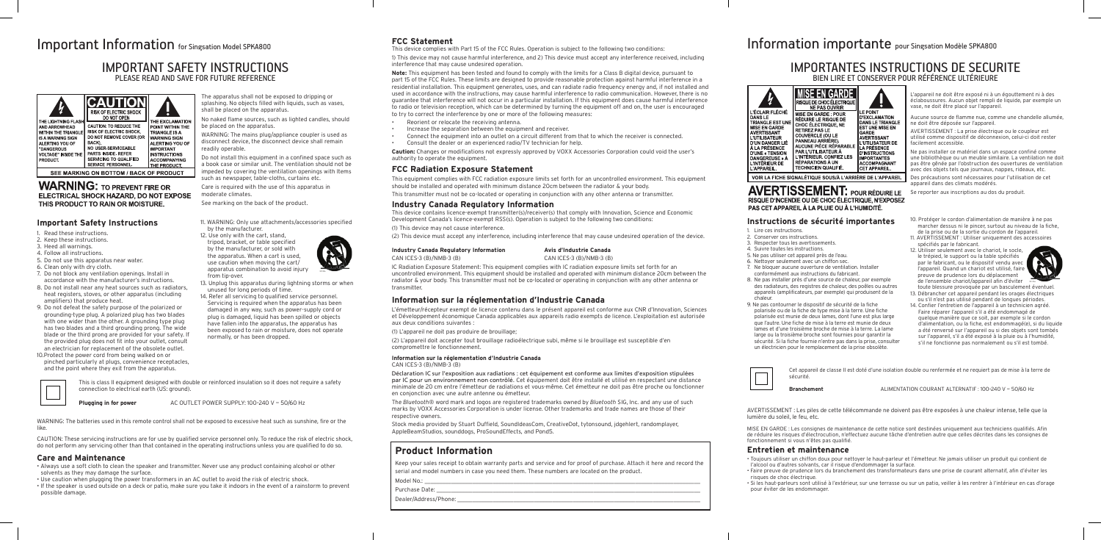CAUTION: These servicing instructions are for use by qualified service personnel only. To reduce the risk of electric shock, do not perform any servicing other than that contained in the operating instructions unless you are qualified to do so.

#### **Important Safety Instructions**

by the manufacturer. 12. Use only with the cart, stand, tripod, bracket, or table specified

- 1. Read these instructions.
- 2. Keep these instructions.
- 3. Heed all warnings.
- 4. Follow all instructions.
- 5. Do not use this apparatus near water.
- 6. Clean only with dry cloth. 7. Do not block any ventilation openings. Install in
- accordance with the manufacturer's instructions. 8. Do not install near any heat sources such as radiators,
- heat registers, stoves, or other apparatus (including amplifiers) that produce heat. 9. Do not defeat the safety purpose of the polarized or
- grounding-type plug. A polarized plug has two blades with one wider than the other. A grounding type plug has two blades and a third grounding prong. The wide blade or the third prong are provided for your safety. If the provided plug does not fit into your outlet, consult an electrician for replacement of the obsolete outlet.
- 10.Protect the power cord from being walked on or pinched particularly at plugs, convenience receptacles, and the point where they exit from the apparatus.



11. WARNING: Only use attachments/accessories specified



apparatus combination to avoid injury from tip-over. 13. Unplug this apparatus during lightning storms or when

unused for long periods of time. 14. Refer all servicing to qualified service personnel. Servicing is required when the apparatus has been damaged in any way, such as power-supply cord or plug is damaged, liquid has been spilled or objects have fallen into the apparatus, the apparatus has



# Information importante pour Singsation Modèle SPKA800

#### **Care and Maintenance**

- Always use a soft cloth to clean the speaker and transmitter. Never use any product containing alcohol or other solvents as they may damage the surface.
- Use caution when plugging the power transformers in an AC outlet to avoid the risk of electric shock.
- If the speaker is used outside on a deck or patio, make sure you take it indoors in the event of a rainstorm to prevent possible damage.

The apparatus shall not be exposed to dripping or splashing. No objects filled with liquids, such as vases,

shall be placed on the apparatus.

No naked flame sources, such as lighted candles, should

be placed on the apparatus.

WARNING: The mains plug/appliance coupler is used as disconnect device, the disconnect device shall remain

readily operable.

Do not install this equipment in a confined space such as a book case or similar unit. The ventilation should not be impeded by covering the ventilation openings with Items such as newspaper, table-cloths, curtains etc. Care is required with the use of this apparatus in

moderate climates.

See marking on the back of the product.

#### **FCC Statement**

This device complies with Part 15 of the FCC Rules. Operation is subject to the following two conditions:

1) This device may not cause harmful interference, and 2) This device must accept any interference received, including interference that may cause undesired operation.

**Note:** This equipment has been tested and found to comply with the limits for a Class B digital device, pursuant to part 15 of the FCC Rules. These limits are designed to provide reasonable protection against harmful interference in a residential installation. This equipment generates, uses, and can radiate radio frequency energy and, if not installed and used in accordance with the instructions, may cause harmful interference to radio communication. However, there is no guarantee that interference will not occur in a particular installation. If this equipment does cause harmful interference to radio or television reception, which can be determined by turning the equipment off and on, the user is encouraged to try to correct the interference by one or more of the following measures:

- Reorient or relocate the receiving antenna.
- Increase the separation between the equipment and receiver.
- Connect the equipment into an outlet on a circuit different from that to which the receiver is connected.
- Consult the dealer or an experienced radio/TV technician for help.

**Caution:** Changes or modifications not expressly approved by VOXX Accessories Corporation could void the user's authority to operate the equipment.

#### **FCC Radiation Exposure Statement**

This equipment complies with FCC radiation exposure limits set forth for an uncontrolled environment. This equipment should be installed and operated with minimum distance 20cm between the radiator & your body.

This transmitter must not be co-located or operating in conjunction with any other antenna or transmitter.

#### **Industry Canada Regulatory Information**

This device contains licence-exempt transmitter(s)/receiver(s) that comply with Innovation, Science and Economic Development Canada's licence-exempt RSS(s). Operation is subject to the following two conditions:

(1) This device may not cause interference.

(2) This device must accept any interference, including interference that may cause undesired operation of the device.

#### **Industry Canada Regulatory Information Avis d'Industrie Canada**

CAN ICES-3 (B)/NMB-3 (B) CAN ICES-3 (B)/NMB-3 (B)

### IMPORTANTES INSTRUCTIONS DE SECURITE BIEN LIRE ET CONSERVER POUR RÉFÉRENCE III TÉRIFURE



RISQUE DE CHOC ÉLECTRIQUE NE PAS OUVRIR MISE EN GARDE : POUR RÉDUIRE LE RISQUE DE CHOC ÉLECTRIQUE, NE **ETIREZ PAS LE** COUVERCLE (OU LE ANNEAU ARRIÈRE). AR L'UTILISATEUR À L'INTÉRIEUR, CONFIEZ LES DANGEREUSE » RÉPARAT**I**ONS À UN INTÉRIEUR DE **TECHNICIEN QUALIFIÉ.** 

MISE EN GARDE **AH F POINT D'EXCLAMATION DANS LE TRIANGLE EST UNE MISE EN** GARDE<br>AVERTISSANT L'UTILISATEUR DE LA PRÉSENCE **D'INSTRUCTIONS IMPORTANTES** ACCOMPAGNANT

VOIR LA FICHE SIGNALÉTIQUE SOUS/À L'ARRIÈRE DE L'APPAREIL

IC Radiation Exposure Statement: This equipment complies with IC radiation exposure limits set forth for an uncontrolled environment. This equipment should be installed and operated with minimum distance 20cm between the radiator & your body. This transmitter must not be co-located or operating in conjunction with any other antenna or transmitter.

**AVERTISSEMENT: POUR RÉDUIRE LE** RISQUE D'INCENDIE OU DE CHOC ÉLECTRIQUE. N'EXPOSEZ PAS CET APPAREIL À LA PLUIE OU À L'HUMIDITÉ.

#### **Information sur la réglementation d'Industrie Canada**

L'émetteur/récepteur exempt de licence contenu dans le présent appareil est conforme aux CNR d'Innovation, Sciences et Développement économique Canada applicables aux appareils radio exempts de licence. L'exploitation est autorisée aux deux conditions suivantes :

(1) L'appareil ne doit pas produire de brouillage;

(2) L'appareil doit accepter tout brouillage radioélectrique subi, même si le brouillage est susceptible d'en compromettre le fonctionnement.

#### **Information sur la réglementation d'Industrie Canada**

CAN ICES-3 (B)/NMB-3 (B)

Déclaration IC sur l'exposition aux radiations : cet équipement est conforme aux limites d'exposition stipulées par IC pour un environnement non contrôlé. Cet équipement doit être installé et utilisé en respectant une distance minimale de 20 cm entre l'émetteur de radiations et vous-même. Cet émetteur ne doit pas être proche ou fonctionner en conjonction avec une autre antenne ou émetteur.

The *Bluetooth*® word mark and logos are registered trademarks owned by *Bluetooth* SIG, Inc. and any use of such marks by VOXX Accessories Corporation is under license. Other trademarks and trade names are those of their respective owners.

Stock media provided by Stuart Duffield, SoundIdeasCom, CreativeDot, tytonsound, jdgehlert, randomplayer, AppleBeamStudios, sounddogs, ProSoundEffects, and Pond5.

### **Product Information**

Keep your sales receipt to obtain warranty parts and service and for proof of purchase. Attach it here and record the serial and model numbers in case you need them. These numbers are located on the product.

Model No.: \_\_\_\_\_\_\_\_\_\_\_\_\_\_\_\_\_\_\_\_\_\_\_\_\_\_\_\_\_\_\_\_\_\_\_\_\_\_\_\_\_\_\_\_\_\_\_\_\_\_\_\_\_\_\_\_\_\_\_\_\_\_\_\_\_\_\_\_\_\_\_\_\_\_\_\_\_\_\_\_\_\_\_\_\_\_\_\_\_\_\_\_\_

Purchase Date:

Dealer/Address/Phone:

L'APPAREIL.





#### **Instructions de sécurité importantes**

1. Lire ces instructions.

- 2. Conserver ces instructions.
- 3. Respecter tous les avertissements.
- 4. Suivre toutes les instructions.
- 5. Ne pas utiliser cet appareil près de l'eau.
- 6. Nettoyer seulement avec un chiffon sec.
- 7. Ne bloquer aucune ouverture de ventilation. Installer
- conformément aux instructions du fabricant.
- 8. Ne pas installer près d'une source de chaleur, par exemple des radiateurs, des registres de chaleur, des poêles ou autres appareils (amplificateurs, par exemple) qui produisent de la chaleur.
- 9. Ne pas contourner le dispositif de sécurité de la fiche polarisée ou de la fiche de type mise à la terre. Une fiche polarisée est munie de deux lames, dont l'une est plus large que l'autre. Une fiche de mise à la terre est munie de deux lames et d'une troisième broche de mise à la terre. La lame large ou la troisième broche sont fournies pour garantir la sécurité. Si la fiche fournie n'entre pas dans la prise, consulter un électricien pour le remplacement de la prise obsolète.
- 10. Protéger le cordon d'alimentation de manière à ne pas marcher dessus ni le pincer, surtout au niveau de la fiche, de la prise ou de la sortie du cordon de l'appareil.
- 11. AVERTISSEMENT : Utiliser uniquement des accessoires spécifiés par le fabricant.
- 12. Utiliser seulement avec le chariot, le socle, le trépied, le support ou la table spécifiés par le fabricant, ou le dispositif vendu avec l'appareil. Quand un chariot est utilisé, faire preuve de prudence lors du déplacement de l'ensemble chariot/appareil afin d'éviter toute blessure provoquée par un basculement éventuel.



- 13. Débrancher cet appareil pendant les orages électriques ou s'il n'est pas utilisé pendant de longues périodes.
- 14. Confier l'entretien de l'appareil à un technicien agréé. Faire réparer l'appareil s'il a été endommagé de quelque manière que ce soit, par exemple si le cordon d'alimentation, ou la fiche, est endommagé(e), si du liquide a été renversé sur l'appareil ou si des objets sont tombés sur l'appareil, s'il a été exposé à la pluie ou à l'humidité, s'il ne fonctionne pas normalement ou s'il est tombé.

L'appareil ne doit être exposé ni à un égouttement ni à des éclaboussures. Aucun objet rempli de liquide, par exemple un vase, ne doit être placé sur l'appareil.

Aucune source de flamme nue, comme une chandelle allumée, ne doit être déposée sur l'appareil.

AVERTISSEMENT : La prise électrique ou le coupleur est utilisé comme dispositif de déconnexion, celui-ci doit rester facilement accessible.

Ne pas installer ce matériel dans un espace confiné comme une bibliothèque ou un meuble similaire. La ventilation ne doit pas être gênée par l'obstruction des ouvertures de ventilation avec des objets tels que journaux, nappes, rideaux, etc.

Des précautions sont nécessaires pour l'utilisation de cet appareil dans des climats modérés.

Se reporter aux inscriptions au dos du produit.

# **Entretien et maintenance**

• Toujours utiliser un chiffon doux pour nettoyer le haut-parleur et l'émetteur. Ne jamais utiliser un produit qui contient de l'alcool ou d'autres solvants, car il risque d'endommager la surface.

• Faire preuve de prudence lors du branchement des transformateurs dans une prise de courant alternatif, afin d'éviter les risques de choc électrique.

• Si les haut-parleurs sont utilisé à l'extérieur, sur une terrasse ou sur un patio, veiller à les rentrer à l'intérieur en cas d'orage pour éviter de les endommager.

# Important Information for Singsation Model SPKA800

### IMPORTANT SAFETY INSTRUCTIONS PLEASE READ AND SAVE FOR FUTURE REFERENCE

| THE LIGHTNING FLASH<br>AND ARROWHEAD<br><b>WITHIN THE TRIANGLE</b><br><b>IS A WARNING SIGN</b><br>ALERTING YOU OF<br>"DANGEROUS<br><b>VOLTAGE" INSIDE THE</b><br>PRODUCT. | 10)<br><b>RISK OF ELECTRIC SHOCK</b><br>DO NOT OPEN                                                                                                                                                              | THE EXCLAMATION                                                                                                                                                      |  |  |
|---------------------------------------------------------------------------------------------------------------------------------------------------------------------------|------------------------------------------------------------------------------------------------------------------------------------------------------------------------------------------------------------------|----------------------------------------------------------------------------------------------------------------------------------------------------------------------|--|--|
|                                                                                                                                                                           | <b>CAUTION: TO REDUCE THE</b><br><b>RISK OF ELECTRIC SHOCK.</b><br>DO NOT REMOVE COVER (OR<br>BACK).<br><b>NO USER SERVICEABLE</b><br>PARTS INSIDE, REFER<br>SERVICING TO QUALIFIED<br><b>SERVICE PERSONNEL.</b> | POINT WITHIN THE<br><b>TRIANGLE IS A</b><br><b>WARNING SIGN</b><br>ALERTING YOU OF<br><b>IMPORTANT</b><br><b>INSTRUCTIONS</b><br><b>ACCOMPANYING</b><br>THE PRODUCT. |  |  |
| SEE MARKING ON BOTTOM / BACK OF PRODUCT                                                                                                                                   |                                                                                                                                                                                                                  |                                                                                                                                                                      |  |  |

**WARNING: TO PREVENT FIRE OR** ELECTRICAL SHOCK HAZARD, DO NOT EXPOSE THIS PRODUCT TO RAIN OR MOISTURE.

> This is class II equipment designed with double or reinforced insulation so it does not require a safety connection to electrical earth (US: ground).



**Plugging in for power** AC OUTLET POWER SUPPLY: 100-240 V ~ 50/60 Hz

Cet appareil de classe II est doté d'une isolation double ou renfermée et ne requiert pas de mise à la terre de sécurité.

**Branchement** ALIMENTATION COURANT ALTERNATIF : 100–240 V ~ 50/60 Hz

MISE EN GARDE : Les consignes de maintenance de cette notice sont destinées uniquement aux techniciens qualifiés. Afin de réduire les risques d'électrocution, n'effectuez aucune tâche d'entretien autre que celles décrites dans les consignes de fonctionnement si vous n'êtes pas qualifié.

WARNING: The batteries used in this remote control shall not be exposed to excessive heat such as sunshine, fire or the like.

AVERTISSEMENT : Les piles de cette télécommande ne doivent pas être exposées à une chaleur intense, telle que la lumière du soleil, le feu, etc.